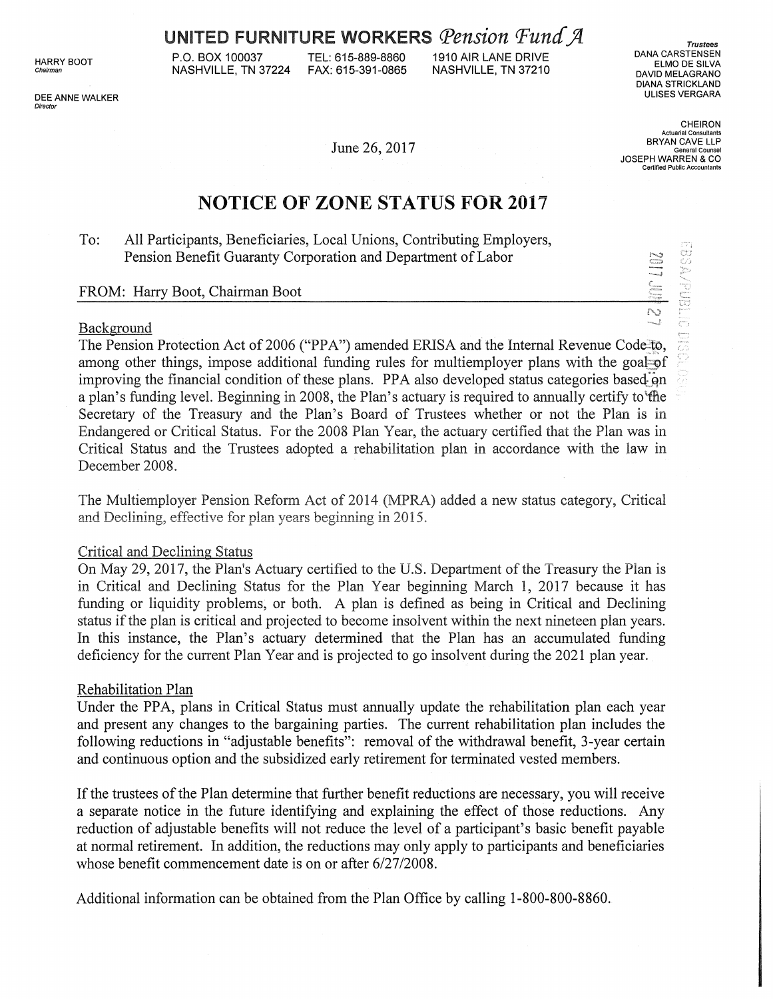DEE ANNE WALKER Director

**UNITED FURNITURE WORKERS** *Pension Fund A* 

**NASHVILLE, TN 37224** 

HARRY BOOT P.O. BOX 100037 TEL: 615-889-8860 1910 AIR LANE DRIVE NASHVILLE, TN 37210

Trustees DANA CARSTENSEN ELMO DE SILVA DAVID MELAGRANO DIANA STRICKLAND ULISES VERGARA

General Counsel<br>JOSEPH WARREN & CO **Certified Public Account** 

NO NO NO

**CHEIRON Actuarial Consultants** 

,,

June 26, 2017

## **NOTICE OF ZONE STATUS FOR 2017**

To: All Participants, Beneficiaries, Local Unions, Contributing Employers, Pension Benefit Guaranty Corporation and Department of Labor

#### FROM: Harry Boot, Chairman Boot

#### Background

The Pension Protection Act of 2006 ("PPA") amended ERISA and the Internal Revenue Code=to, among other things, impose additional funding rules for multiemployer plans with the goal- $\varphi$ f improving the financial condition of these plans. PPA also developed status categories based on a plan's funding level. Beginning in 2008, the Plan's actuary is required to annually certify to the Secretary of the Treasury and the Plan's Board of Trustees whether or not the Plan is in Endangered or Critical Status. For the 2008 Plan Year, the actuary certified that the Plan was in Critical Status and the Trustees adopted a rehabilitation plan in accordance with the law in December 2008.

The Multiemployer Pension Reform Act of 2014 (MPRA) added a new status category, Critical and Declining, effective for plan years beginning in 2015.

#### Critical and Declining Status

On May 29, 2017, the Plan's Actuary certified to the U.S. Department of the Treasury the Plan is in Critical and Declining Status for the Plan Year beginning March 1, 2017 because it has funding or liquidity problems, or both. A plan is defined as being in Critical and Declining status ifthe plan is critical and projected to become insolvent within the next nineteen plan years. In this instance, the Plan's actuary determined that the Plan has an accumulated funding deficiency for the current Plan Year and is projected to go insolvent during the 2021 plan year.

#### Rehabilitation Plan

Under the PPA, plans in Critical Status must annually update the rehabilitation plan each year and present any changes to the bargaining parties. The current rehabilitation plan includes the following reductions in "adjustable benefits": removal of the withdrawal benefit, 3-year certain and continuous option and the subsidized early retirement for terminated vested members.

If the trustees of the Plan determine that further benefit reductions are necessary, you will receive a separate notice in the future identifying and explaining the effect of those reductions. Any reduction of adjustable benefits will not reduce the level of a participant's basic benefit payable at normal retirement. In addition, the reductions may only apply to participants and beneficiaries whose benefit commencement date is on or after  $6/27/2008$ .

Additional information can be obtained from the Plan Office by calling 1-800-800-8860.